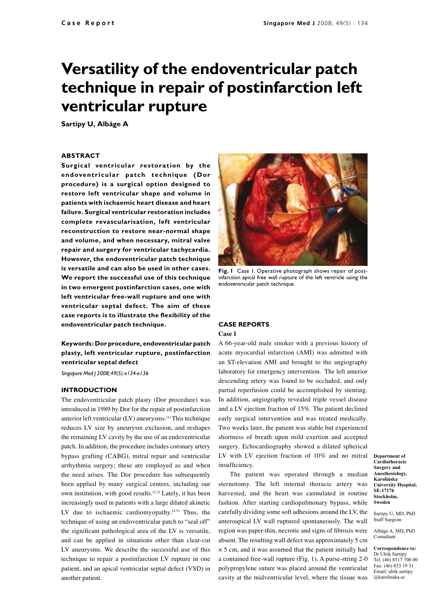# **Versatility of the endoventricular patch technique in repair of postinfarction left ventricular rupture**

**Sartipy U, Albåge A**

#### **ABSTRACT**

**Surgical ventricular restoration by the endoventricular patch technique ( Dor procedure) is a surgical option designed to restore left ventricular shape and volume in patients with ischaemic heart disease and heart failure. Surgical ventricular restoration includes complete revascularisation, left ventricular reconstruction to restore near-normal shape and volume, and when necessary, mitral valve repair and surgery for ventricular tachycardia. However, the endoventricular patch technique is versatile and can also be used in other cases. We report the successful use of this technique in two emergent postinfarction cases, one with left ventricular free-wall rupture and one with ventricular septal defect. The aim of these case reports is to illustrate the flexibility of the endoventricular patch technique.**

# **Keywords: Dor procedure, endoventricular patch plasty, left ventricular rupture, postinfarction ventricular septal defect**

*Singapore Med J 2008; 49(5): e134-e136*

#### **INTRODUCTION**

The endoventricular patch plasty (Dor procedure) was introduced in 1989 by Dor for the repair of postinfarction anterior left ventricular (LV) aneurysms.(1) This technique reduces LV size by aneurysm exclusion, and reshapes the remaining LV cavity by the use of an endoventricular patch. In addition, the procedure includes coronary artery bypass grafting (CABG), mitral repair and ventricular arrhythmia surgery; these are employed as and when the need arises. The Dor procedure has subsequently been applied by many surgical centres, including our own institution, with good results.<sup> $(2,3)$ </sup> Lately, it has been increasingly used in patients with a large dilated akinetic LV due to ischaemic cardiomyopathy. $(4,5)$  Thus, the technique of using an endoventricular patch to "seal off" the significant pathological area of the LV is versatile, and can be applied in situations other than clear-cut LV aneurysms. We describe the successful use of this technique to repair a postinfarction LV rupture in one patient, and an apical ventricular septal defect (VSD) in another patient.



**Fig. 1** Case 1. Operative photograph shows repair of postinfarction apical free wall rupture of the left ventricle using the endoventricular patch technique.

### **CASE REPORTS**

#### **Case 1**

LV with LV ejection fraction of 10% and no mitral Department of A 66-year-old male smoker with a previous history of acute myocardial infarction (AMI) was admitted with an ST-elevation AMI and brought to the angiography laboratory for emergency intervention. The left anterior descending artery was found to be occluded, and only partial reperfusion could be accomplished by stenting. In addition, angiography revealed triple vessel disease and a LV ejection fraction of 15%. The patient declined early surgical intervention and was treated medically. Two weeks later, the patient was stable but experienced shortness of breath upon mild exertion and accepted surgery. Echocardiography showed a dilated spherical insufficiency.

The patient was operated through a median sternotomy. The left internal thoracic artery was harvested, and the heart was cannulated in routine fashion. After starting cardiopulmonary bypass, while carefully dividing some soft adhesions around the LV, the anteroapical LV wall ruptured spontaneously. The wall region was paper-thin, necrotic and signs of fibrosis were absent. The resulting wall defect was approximately 5 cm × 5 cm, and it was assumed that the patient initially had a contained free-wall rupture (Fig. 1). A purse-string 2-0 polypropylene suture was placed around the ventricular cavity at the midventricular level, where the tissue was

**Cardiothoracic Surgery and Anesthesiology, Karolinska University Hospital, SE-17176 Stockholm, Sweden**

Sartipy U, MD, PhD Staff Surgeon

Albåge A, MD, PhD Consultant

**Correspondence to:** Dr Ulrik Sartipy Tel: (46) 8517 700 00 Fax: (46) 833 19 31 Email: ulrik.sartipy @karolinska.se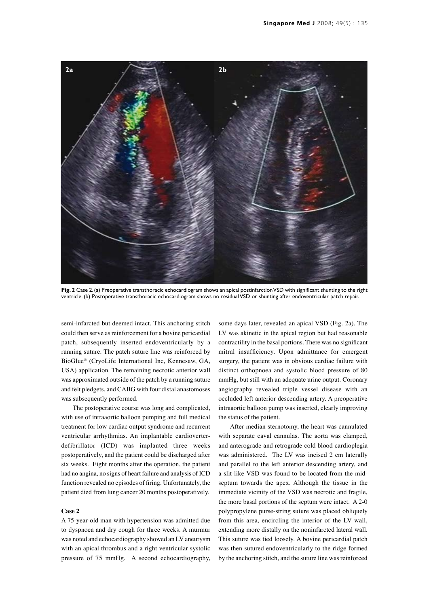

**Fig. 2** Case 2. (a) Preoperative transthoracic echocardiogram shows an apical postinfarction VSD with significant shunting to the right ventricle. (b) Postoperative transthoracic echocardiogram shows no residual VSD or shunting after endoventricular patch repair.

semi-infarcted but deemed intact. This anchoring stitch could then serve as reinforcement for a bovine pericardial patch, subsequently inserted endoventricularly by a running suture. The patch suture line was reinforced by BioGlue® (CryoLife International Inc, Kennesaw, GA, USA) application. The remaining necrotic anterior wall was approximated outside of the patch by a running suture and felt pledgets, and CABG with four distal anastomoses was subsequently performed.

The postoperative course was long and complicated, with use of intraaortic balloon pumping and full medical treatment for low cardiac output syndrome and recurrent ventricular arrhythmias. An implantable cardioverterdefibrillator (ICD) was implanted three weeks postoperatively, and the patient could be discharged after six weeks. Eight months after the operation, the patient had no angina, no signs of heart failure and analysis of ICD function revealed no episodes of firing. Unfortunately, the patient died from lung cancer 20 months postoperatively.

#### **Case 2**

A 75-year-old man with hypertension was admitted due to dyspnoea and dry cough for three weeks. A murmur was noted and echocardiography showed an LV aneurysm with an apical thrombus and a right ventricular systolic pressure of 75 mmHg. A second echocardiography,

some days later, revealed an apical VSD (Fig. 2a). The LV was akinetic in the apical region but had reasonable contractility in the basal portions. There was no significant mitral insufficiency. Upon admittance for emergent surgery, the patient was in obvious cardiac failure with distinct orthopnoea and systolic blood pressure of 80 mmHg, but still with an adequate urine output. Coronary angiography revealed triple vessel disease with an occluded left anterior descending artery. A preoperative intraaortic balloon pump was inserted, clearly improving the status of the patient.

After median sternotomy, the heart was cannulated with separate caval cannulas. The aorta was clamped, and anterograde and retrograde cold blood cardioplegia was administered. The LV was incised 2 cm laterally and parallel to the left anterior descending artery, and a slit-like VSD was found to be located from the midseptum towards the apex. Although the tissue in the immediate vicinity of the VSD was necrotic and fragile, the more basal portions of the septum were intact. A 2-0 polypropylene purse-string suture was placed obliquely from this area, encircling the interior of the LV wall, extending more distally on the noninfarcted lateral wall. This suture was tied loosely. A bovine pericardial patch was then sutured endoventricularly to the ridge formed by the anchoring stitch, and the suture line was reinforced